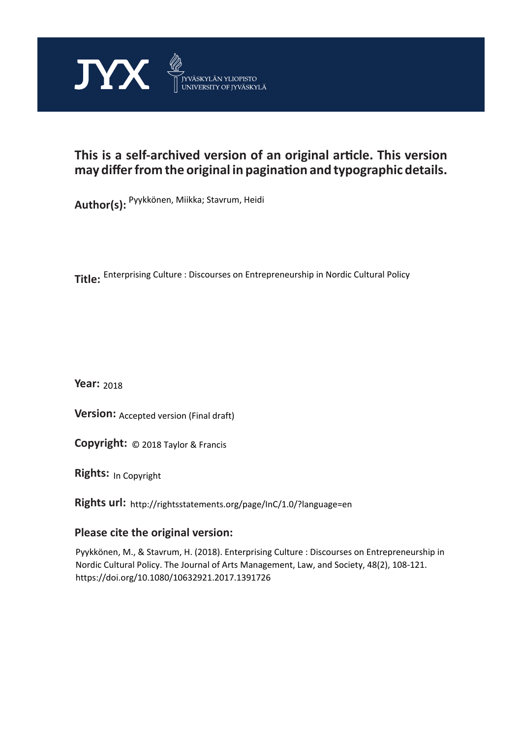

# **This is a self-archived version of an original article. This version may differ from the original in pagination and typographic details.**

**Author(s):**  Pyykkönen, Miikka; Stavrum, Heidi

**Title:**  Enterprising Culture : Discourses on Entrepreneurship in Nordic Cultural Policy

**Year:**  2018

**Version: Accepted version (Final draft)** 

**Version:** Accepted version (Final draft)<br>**Copyright:** © 2018 Taylor & Francis

**Rights:** In Copyright

**Rights url:**  http://rightsstatements.org/page/InC/1.0/?language=en

# **Please cite the original version:**

Pyykkönen, M., & Stavrum, H. (2018). Enterprising Culture : Discourses on Entrepreneurship in Nordic Cultural Policy. The Journal of Arts Management, Law, and Society, 48(2), 108-121. https://doi.org/10.1080/10632921.2017.1391726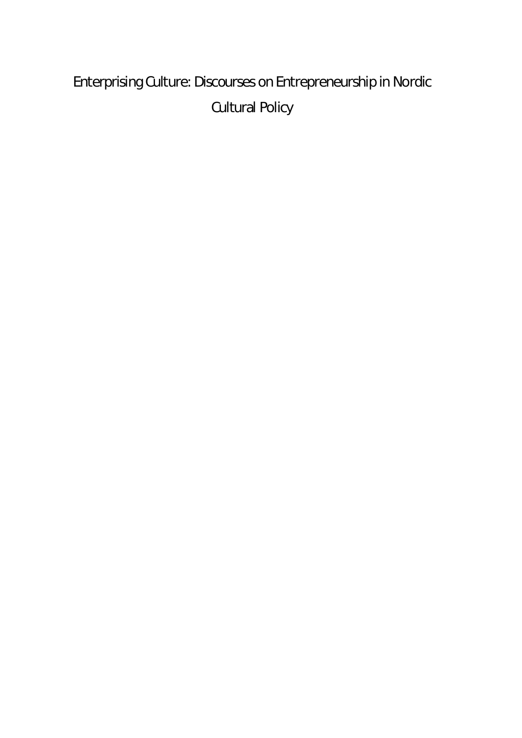# Enterprising Culture: Discourses on Entrepreneurship in Nordic Cultural Policy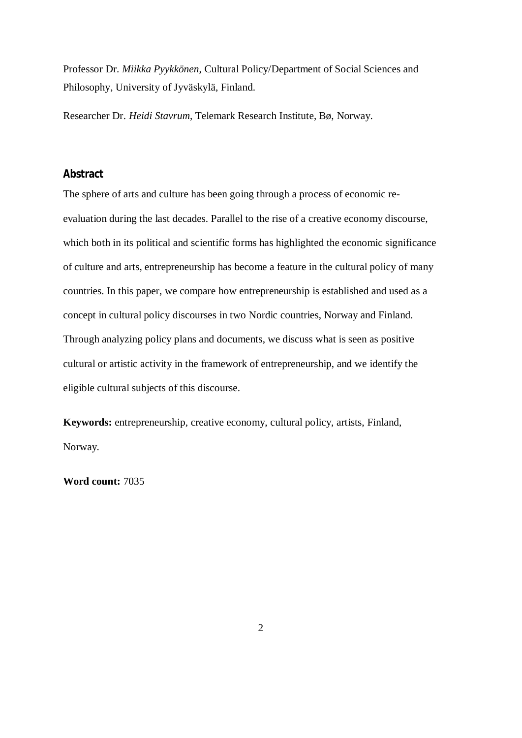Professor Dr. *Miikka Pyykkönen*, Cultural Policy/Department of Social Sciences and Philosophy, University of Jyväskylä, Finland.

Researcher Dr. *Heidi Stavrum*, Telemark Research Institute, Bø, Norway.

#### **Abstract**

The sphere of arts and culture has been going through a process of economic reevaluation during the last decades. Parallel to the rise of a creative economy discourse, which both in its political and scientific forms has highlighted the economic significance of culture and arts, entrepreneurship has become a feature in the cultural policy of many countries. In this paper, we compare how entrepreneurship is established and used as a concept in cultural policy discourses in two Nordic countries, Norway and Finland. Through analyzing policy plans and documents, we discuss what is seen as positive cultural or artistic activity in the framework of entrepreneurship, and we identify the eligible cultural subjects of this discourse.

**Keywords:** entrepreneurship, creative economy, cultural policy, artists, Finland, Norway.

**Word count:** 7035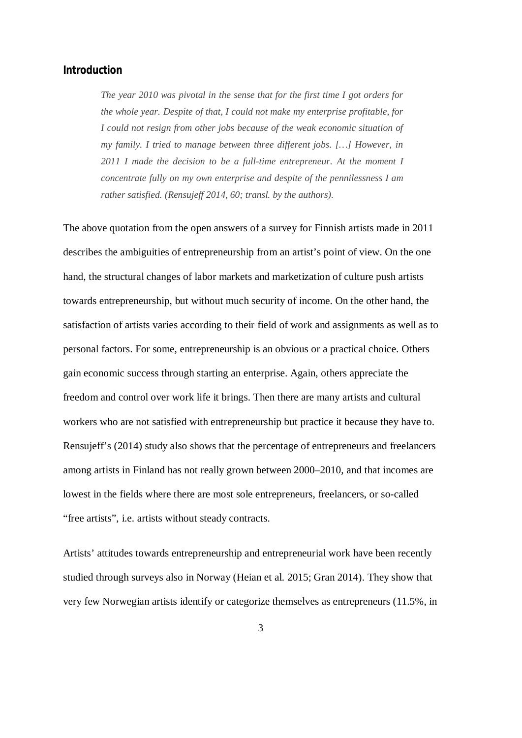#### **Introduction**

*The year 2010 was pivotal in the sense that for the first time I got orders for the whole year. Despite of that, I could not make my enterprise profitable, for I could not resign from other jobs because of the weak economic situation of my family. I tried to manage between three different jobs. […] However, in 2011 I made the decision to be a full-time entrepreneur. At the moment I concentrate fully on my own enterprise and despite of the pennilessness I am rather satisfied. (Rensujeff 2014, 60; transl. by the authors).*

The above quotation from the open answers of a survey for Finnish artists made in 2011 describes the ambiguities of entrepreneurship from an artist's point of view. On the one hand, the structural changes of labor markets and marketization of culture push artists towards entrepreneurship, but without much security of income. On the other hand, the satisfaction of artists varies according to their field of work and assignments as well as to personal factors. For some, entrepreneurship is an obvious or a practical choice. Others gain economic success through starting an enterprise. Again, others appreciate the freedom and control over work life it brings. Then there are many artists and cultural workers who are not satisfied with entrepreneurship but practice it because they have to. Rensujeff's (2014) study also shows that the percentage of entrepreneurs and freelancers among artists in Finland has not really grown between 2000–2010, and that incomes are lowest in the fields where there are most sole entrepreneurs, freelancers, or so-called "free artists", i.e. artists without steady contracts.

Artists' attitudes towards entrepreneurship and entrepreneurial work have been recently studied through surveys also in Norway (Heian et al. 2015; Gran 2014). They show that very few Norwegian artists identify or categorize themselves as entrepreneurs (11.5%, in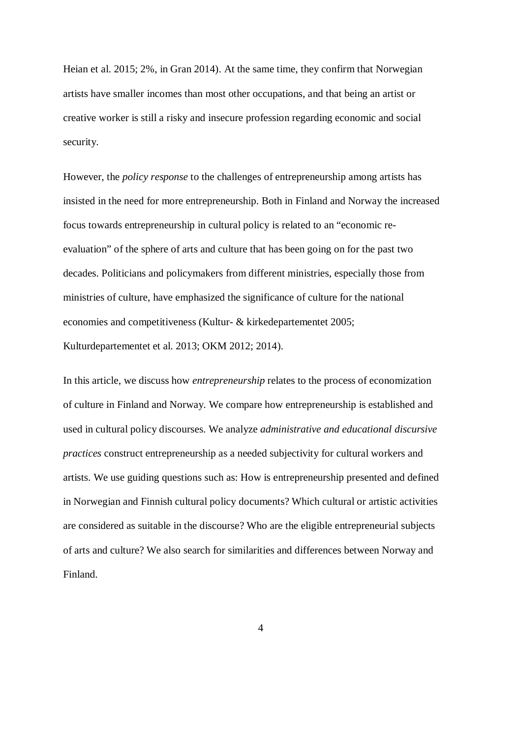Heian et al. 2015; 2%, in Gran 2014). At the same time, they confirm that Norwegian artists have smaller incomes than most other occupations, and that being an artist or creative worker is still a risky and insecure profession regarding economic and social security.

However, the *policy response* to the challenges of entrepreneurship among artists has insisted in the need for more entrepreneurship. Both in Finland and Norway the increased focus towards entrepreneurship in cultural policy is related to an "economic reevaluation" of the sphere of arts and culture that has been going on for the past two decades. Politicians and policymakers from different ministries, especially those from ministries of culture, have emphasized the significance of culture for the national economies and competitiveness (Kultur- & kirkedepartementet 2005; Kulturdepartementet et al. 2013; OKM 2012; 2014).

In this article, we discuss how *entrepreneurship* relates to the process of economization of culture in Finland and Norway. We compare how entrepreneurship is established and used in cultural policy discourses. We analyze *administrative and educational discursive practices* construct entrepreneurship as a needed subjectivity for cultural workers and artists. We use guiding questions such as: How is entrepreneurship presented and defined in Norwegian and Finnish cultural policy documents? Which cultural or artistic activities are considered as suitable in the discourse? Who are the eligible entrepreneurial subjects of arts and culture? We also search for similarities and differences between Norway and Finland.

4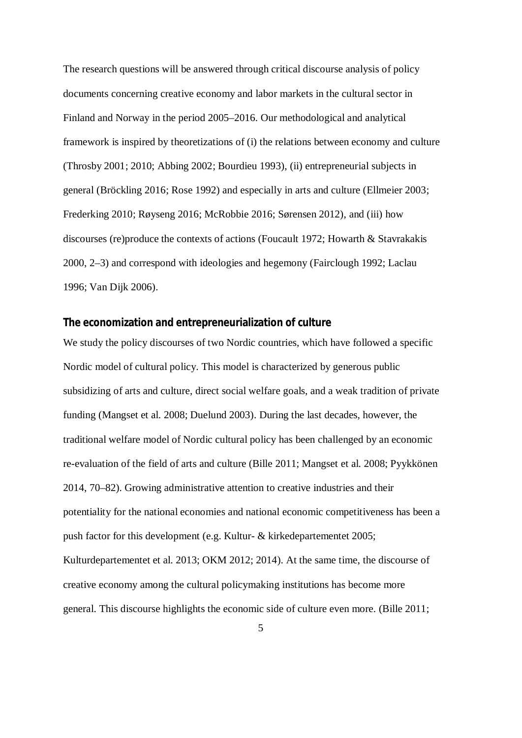The research questions will be answered through critical discourse analysis of policy documents concerning creative economy and labor markets in the cultural sector in Finland and Norway in the period 2005–2016. Our methodological and analytical framework is inspired by theoretizations of (i) the relations between economy and culture (Throsby 2001; 2010; Abbing 2002; Bourdieu 1993), (ii) entrepreneurial subjects in general (Bröckling 2016; Rose 1992) and especially in arts and culture (Ellmeier 2003; Frederking 2010; Røyseng 2016; McRobbie 2016; Sørensen 2012), and (iii) how discourses (re)produce the contexts of actions (Foucault 1972; Howarth & Stavrakakis 2000, 2–3) and correspond with ideologies and hegemony (Fairclough 1992; Laclau 1996; Van Dijk 2006).

### **The economization and entrepreneurialization of culture**

We study the policy discourses of two Nordic countries, which have followed a specific Nordic model of cultural policy. This model is characterized by generous public subsidizing of arts and culture, direct social welfare goals, and a weak tradition of private funding (Mangset et al. 2008; Duelund 2003). During the last decades, however, the traditional welfare model of Nordic cultural policy has been challenged by an economic re-evaluation of the field of arts and culture (Bille 2011; Mangset et al. 2008; Pyykkönen 2014, 70–82). Growing administrative attention to creative industries and their potentiality for the national economies and national economic competitiveness has been a push factor for this development (e.g. Kultur- & kirkedepartementet 2005; Kulturdepartementet et al. 2013; OKM 2012; 2014). At the same time, the discourse of creative economy among the cultural policymaking institutions has become more general. This discourse highlights the economic side of culture even more. (Bille 2011;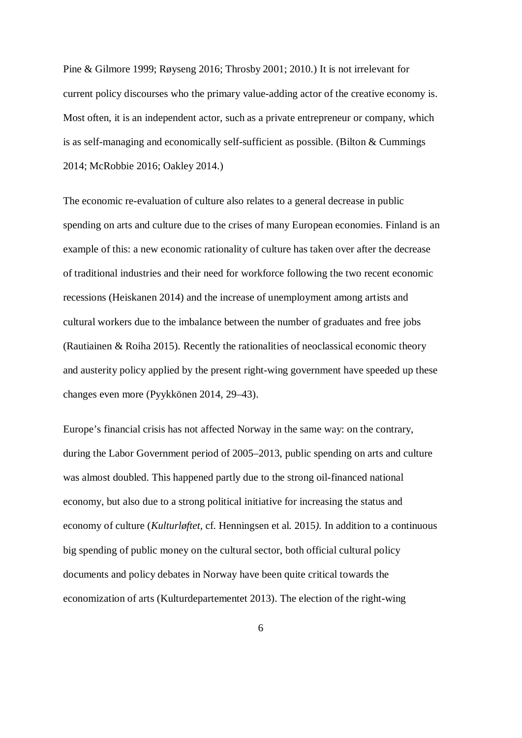Pine & Gilmore 1999; Røyseng 2016; Throsby 2001; 2010.) It is not irrelevant for current policy discourses who the primary value-adding actor of the creative economy is. Most often, it is an independent actor, such as a private entrepreneur or company, which is as self-managing and economically self-sufficient as possible. (Bilton & Cummings 2014; McRobbie 2016; Oakley 2014.)

The economic re-evaluation of culture also relates to a general decrease in public spending on arts and culture due to the crises of many European economies. Finland is an example of this: a new economic rationality of culture has taken over after the decrease of traditional industries and their need for workforce following the two recent economic recessions (Heiskanen 2014) and the increase of unemployment among artists and cultural workers due to the imbalance between the number of graduates and free jobs (Rautiainen & Roiha 2015). Recently the rationalities of neoclassical economic theory and austerity policy applied by the present right-wing government have speeded up these changes even more (Pyykkönen 2014, 29–43).

Europe's financial crisis has not affected Norway in the same way: on the contrary, during the Labor Government period of 2005–2013, public spending on arts and culture was almost doubled. This happened partly due to the strong oil-financed national economy, but also due to a strong political initiative for increasing the status and economy of culture (*Kulturløftet,* cf. Henningsen et al. 2015*).* In addition to a continuous big spending of public money on the cultural sector, both official cultural policy documents and policy debates in Norway have been quite critical towards the economization of arts (Kulturdepartementet 2013). The election of the right-wing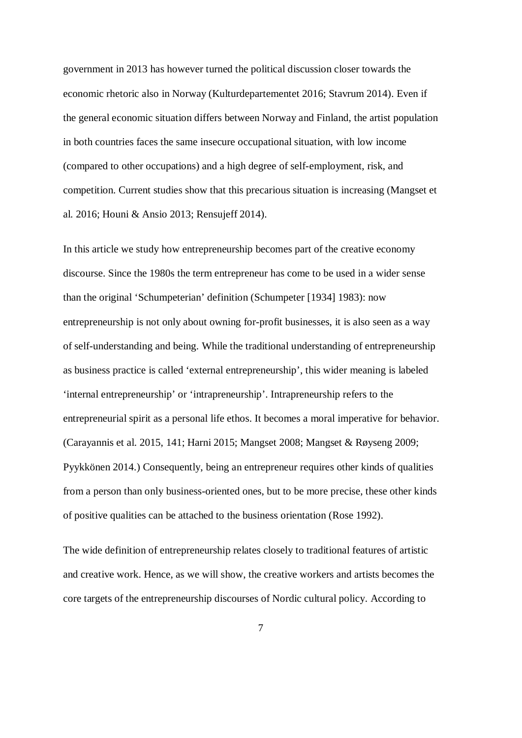government in 2013 has however turned the political discussion closer towards the economic rhetoric also in Norway (Kulturdepartementet 2016; Stavrum 2014). Even if the general economic situation differs between Norway and Finland, the artist population in both countries faces the same insecure occupational situation, with low income (compared to other occupations) and a high degree of self-employment, risk, and competition. Current studies show that this precarious situation is increasing (Mangset et al. 2016; Houni & Ansio 2013; Rensujeff 2014).

In this article we study how entrepreneurship becomes part of the creative economy discourse. Since the 1980s the term entrepreneur has come to be used in a wider sense than the original 'Schumpeterian' definition (Schumpeter [1934] 1983): now entrepreneurship is not only about owning for-profit businesses, it is also seen as a way of self-understanding and being. While the traditional understanding of entrepreneurship as business practice is called 'external entrepreneurship', this wider meaning is labeled 'internal entrepreneurship' or 'intrapreneurship'. Intrapreneurship refers to the entrepreneurial spirit as a personal life ethos. It becomes a moral imperative for behavior. (Carayannis et al. 2015, 141; Harni 2015; Mangset 2008; Mangset & Røyseng 2009; Pyykkönen 2014.) Consequently, being an entrepreneur requires other kinds of qualities from a person than only business-oriented ones, but to be more precise, these other kinds of positive qualities can be attached to the business orientation (Rose 1992).

The wide definition of entrepreneurship relates closely to traditional features of artistic and creative work. Hence, as we will show, the creative workers and artists becomes the core targets of the entrepreneurship discourses of Nordic cultural policy. According to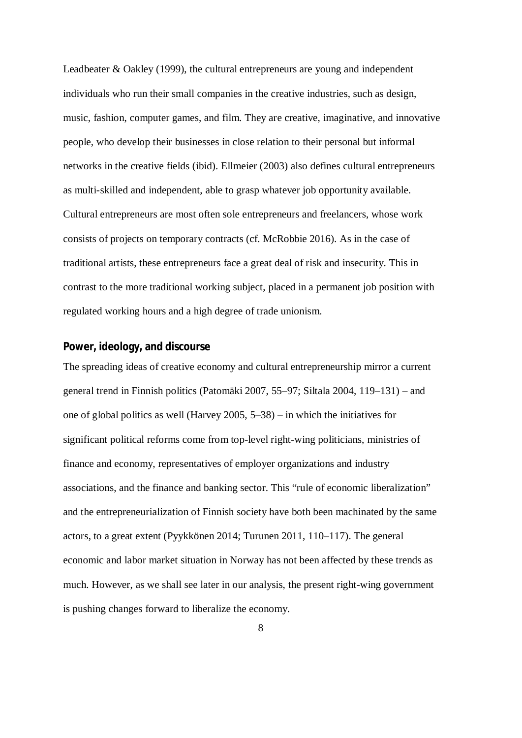Leadbeater & Oakley (1999), the cultural entrepreneurs are young and independent individuals who run their small companies in the creative industries, such as design, music, fashion, computer games, and film. They are creative, imaginative, and innovative people, who develop their businesses in close relation to their personal but informal networks in the creative fields (ibid). Ellmeier (2003) also defines cultural entrepreneurs as multi-skilled and independent, able to grasp whatever job opportunity available. Cultural entrepreneurs are most often sole entrepreneurs and freelancers, whose work consists of projects on temporary contracts (cf. McRobbie 2016). As in the case of traditional artists, these entrepreneurs face a great deal of risk and insecurity. This in contrast to the more traditional working subject, placed in a permanent job position with regulated working hours and a high degree of trade unionism.

#### **Power, ideology, and discourse**

The spreading ideas of creative economy and cultural entrepreneurship mirror a current general trend in Finnish politics (Patomäki 2007, 55–97; Siltala 2004, 119–131) – and one of global politics as well (Harvey 2005, 5–38) – in which the initiatives for significant political reforms come from top-level right-wing politicians, ministries of finance and economy, representatives of employer organizations and industry associations, and the finance and banking sector. This "rule of economic liberalization" and the entrepreneurialization of Finnish society have both been machinated by the same actors, to a great extent (Pyykkönen 2014; Turunen 2011, 110–117). The general economic and labor market situation in Norway has not been affected by these trends as much. However, as we shall see later in our analysis, the present right-wing government is pushing changes forward to liberalize the economy.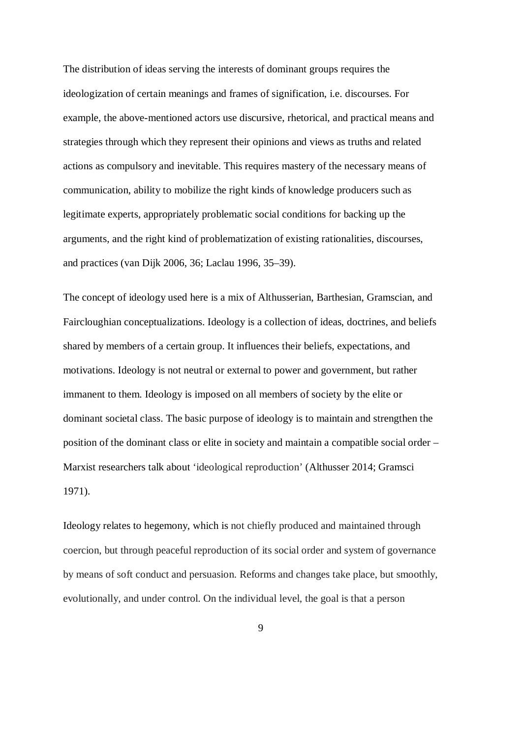The distribution of ideas serving the interests of dominant groups requires the ideologization of certain meanings and frames of signification, i.e. discourses. For example, the above-mentioned actors use discursive, rhetorical, and practical means and strategies through which they represent their opinions and views as truths and related actions as compulsory and inevitable. This requires mastery of the necessary means of communication, ability to mobilize the right kinds of knowledge producers such as legitimate experts, appropriately problematic social conditions for backing up the arguments, and the right kind of problematization of existing rationalities, discourses, and practices (van Dijk 2006, 36; Laclau 1996, 35–39).

The concept of ideology used here is a mix of Althusserian, Barthesian, Gramscian, and Faircloughian conceptualizations. Ideology is a collection of ideas, doctrines, and beliefs shared by members of a certain group. It influences their beliefs, expectations, and motivations. Ideology is not neutral or external to power and government, but rather immanent to them. Ideology is imposed on all members of society by the elite or dominant societal class. The basic purpose of ideology is to maintain and strengthen the position of the dominant class or elite in society and maintain a compatible social order – Marxist researchers talk about 'ideological reproduction' (Althusser 2014; Gramsci 1971).

Ideology relates to hegemony, which is not chiefly produced and maintained through coercion, but through peaceful reproduction of its social order and system of governance by means of soft conduct and persuasion. Reforms and changes take place, but smoothly, evolutionally, and under control. On the individual level, the goal is that a person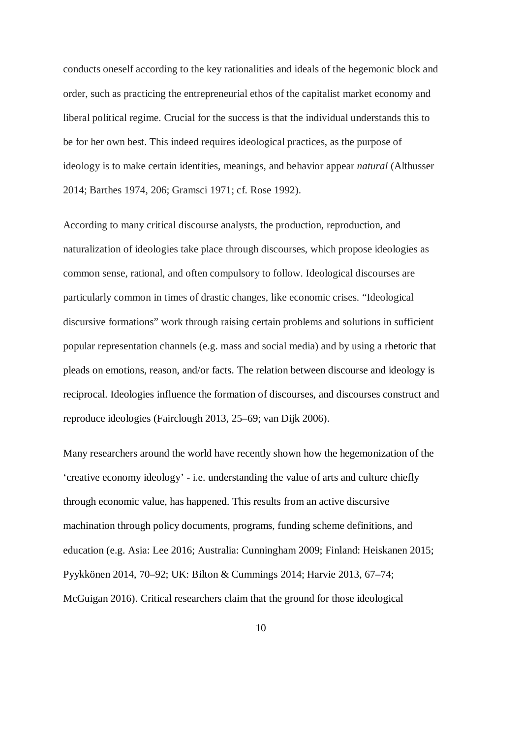conducts oneself according to the key rationalities and ideals of the hegemonic block and order, such as practicing the entrepreneurial ethos of the capitalist market economy and liberal political regime. Crucial for the success is that the individual understands this to be for her own best. This indeed requires ideological practices, as the purpose of ideology is to make certain identities, meanings, and behavior appear *natural* (Althusser 2014; Barthes 1974, 206; Gramsci 1971; cf. Rose 1992).

According to many critical discourse analysts, the production, reproduction, and naturalization of ideologies take place through discourses, which propose ideologies as common sense, rational, and often compulsory to follow. Ideological discourses are particularly common in times of drastic changes, like economic crises. "Ideological discursive formations" work through raising certain problems and solutions in sufficient popular representation channels (e.g. mass and social media) and by using a rhetoric that pleads on emotions, reason, and/or facts. The relation between discourse and ideology is reciprocal. Ideologies influence the formation of discourses, and discourses construct and reproduce ideologies (Fairclough 2013, 25–69; van Dijk 2006).

Many researchers around the world have recently shown how the hegemonization of the 'creative economy ideology' - i.e. understanding the value of arts and culture chiefly through economic value, has happened. This results from an active discursive machination through policy documents, programs, funding scheme definitions, and education (e.g. Asia: Lee 2016; Australia: Cunningham 2009; Finland: Heiskanen 2015; Pyykkönen 2014, 70–92; UK: Bilton & Cummings 2014; Harvie 2013, 67–74; McGuigan 2016). Critical researchers claim that the ground for those ideological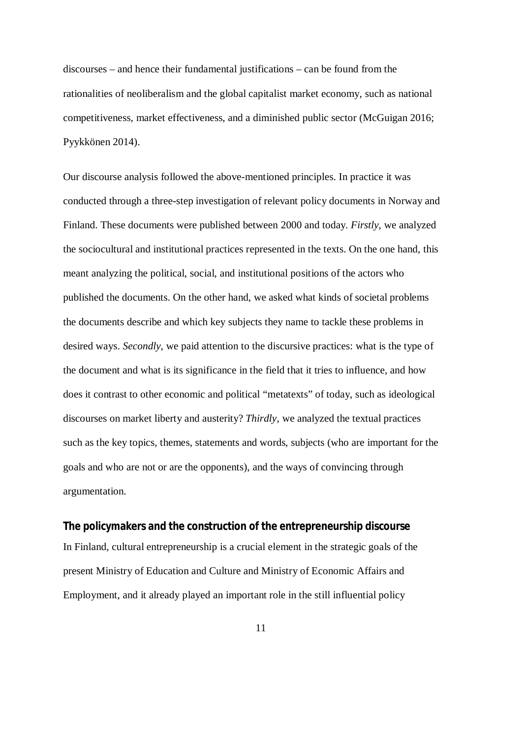discourses – and hence their fundamental justifications – can be found from the rationalities of neoliberalism and the global capitalist market economy, such as national competitiveness, market effectiveness, and a diminished public sector (McGuigan 2016; Pyykkönen 2014).

Our discourse analysis followed the above-mentioned principles. In practice it was conducted through a three-step investigation of relevant policy documents in Norway and Finland. These documents were published between 2000 and today. *Firstly*, we analyzed the sociocultural and institutional practices represented in the texts. On the one hand, this meant analyzing the political, social, and institutional positions of the actors who published the documents. On the other hand, we asked what kinds of societal problems the documents describe and which key subjects they name to tackle these problems in desired ways. *Secondly*, we paid attention to the discursive practices: what is the type of the document and what is its significance in the field that it tries to influence, and how does it contrast to other economic and political "metatexts" of today, such as ideological discourses on market liberty and austerity? *Thirdly*, we analyzed the textual practices such as the key topics, themes, statements and words, subjects (who are important for the goals and who are not or are the opponents), and the ways of convincing through argumentation.

**The policymakers and the construction of the entrepreneurship discourse** In Finland, cultural entrepreneurship is a crucial element in the strategic goals of the present Ministry of Education and Culture and Ministry of Economic Affairs and Employment, and it already played an important role in the still influential policy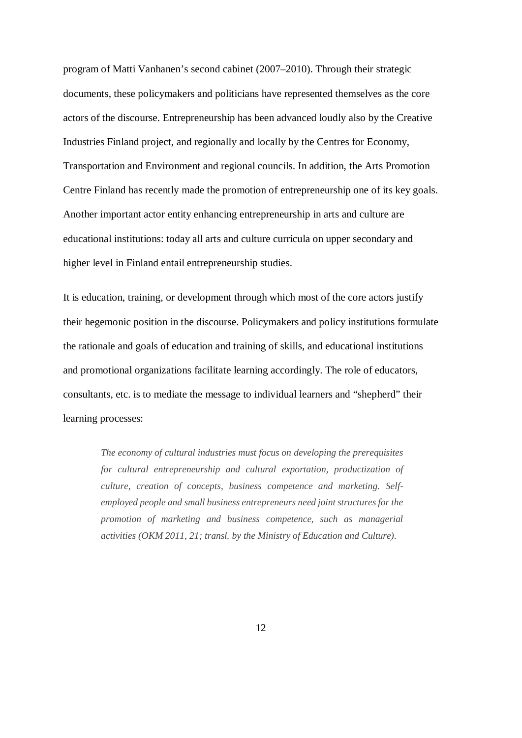program of Matti Vanhanen's second cabinet (2007–2010). Through their strategic documents, these policymakers and politicians have represented themselves as the core actors of the discourse. Entrepreneurship has been advanced loudly also by the Creative Industries Finland project, and regionally and locally by the Centres for Economy, Transportation and Environment and regional councils. In addition, the Arts Promotion Centre Finland has recently made the promotion of entrepreneurship one of its key goals. Another important actor entity enhancing entrepreneurship in arts and culture are educational institutions: today all arts and culture curricula on upper secondary and higher level in Finland entail entrepreneurship studies.

It is education, training, or development through which most of the core actors justify their hegemonic position in the discourse. Policymakers and policy institutions formulate the rationale and goals of education and training of skills, and educational institutions and promotional organizations facilitate learning accordingly. The role of educators, consultants, etc. is to mediate the message to individual learners and "shepherd" their learning processes:

*The economy of cultural industries must focus on developing the prerequisites for cultural entrepreneurship and cultural exportation, productization of culture, creation of concepts, business competence and marketing. Selfemployed people and small business entrepreneurs need joint structures for the promotion of marketing and business competence, such as managerial activities (OKM 2011, 21; transl. by the Ministry of Education and Culture).*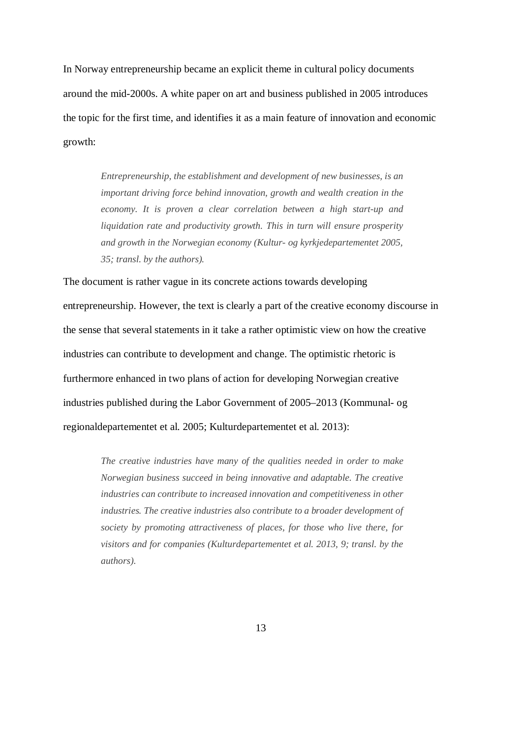In Norway entrepreneurship became an explicit theme in cultural policy documents around the mid-2000s. A white paper on art and business published in 2005 introduces the topic for the first time, and identifies it as a main feature of innovation and economic growth:

> *Entrepreneurship, the establishment and development of new businesses, is an important driving force behind innovation, growth and wealth creation in the economy. It is proven a clear correlation between a high start-up and liquidation rate and productivity growth. This in turn will ensure prosperity and growth in the Norwegian economy (Kultur- og kyrkjedepartementet 2005, 35; transl. by the authors).*

The document is rather vague in its concrete actions towards developing entrepreneurship. However, the text is clearly a part of the creative economy discourse in the sense that several statements in it take a rather optimistic view on how the creative industries can contribute to development and change. The optimistic rhetoric is furthermore enhanced in two plans of action for developing Norwegian creative industries published during the Labor Government of 2005–2013 (Kommunal- og regionaldepartementet et al. 2005; Kulturdepartementet et al. 2013):

> *The creative industries have many of the qualities needed in order to make Norwegian business succeed in being innovative and adaptable. The creative industries can contribute to increased innovation and competitiveness in other industries. The creative industries also contribute to a broader development of society by promoting attractiveness of places, for those who live there, for visitors and for companies (Kulturdepartementet et al. 2013, 9; transl. by the authors).*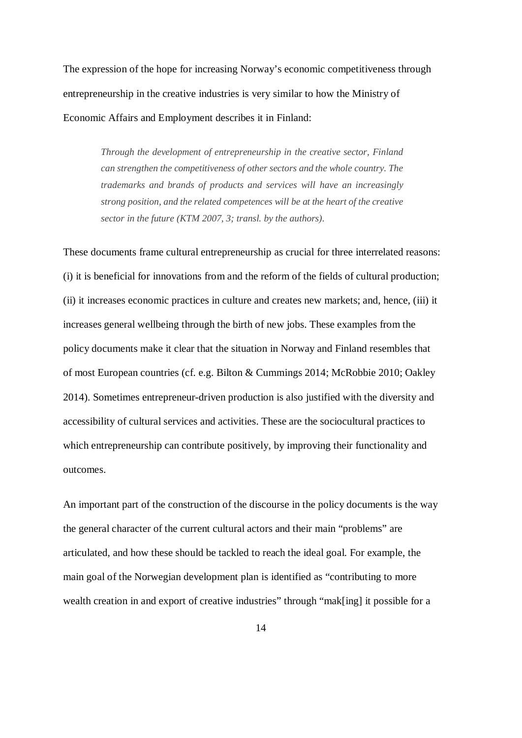The expression of the hope for increasing Norway's economic competitiveness through entrepreneurship in the creative industries is very similar to how the Ministry of Economic Affairs and Employment describes it in Finland:

> *Through the development of entrepreneurship in the creative sector, Finland can strengthen the competitiveness of other sectors and the whole country. The trademarks and brands of products and services will have an increasingly strong position, and the related competences will be at the heart of the creative sector in the future (KTM 2007, 3; transl. by the authors).*

These documents frame cultural entrepreneurship as crucial for three interrelated reasons: (i) it is beneficial for innovations from and the reform of the fields of cultural production; (ii) it increases economic practices in culture and creates new markets; and, hence, (iii) it increases general wellbeing through the birth of new jobs. These examples from the policy documents make it clear that the situation in Norway and Finland resembles that of most European countries (cf. e.g. Bilton & Cummings 2014; McRobbie 2010; Oakley 2014). Sometimes entrepreneur-driven production is also justified with the diversity and accessibility of cultural services and activities. These are the sociocultural practices to which entrepreneurship can contribute positively, by improving their functionality and outcomes.

An important part of the construction of the discourse in the policy documents is the way the general character of the current cultural actors and their main "problems" are articulated, and how these should be tackled to reach the ideal goal. For example, the main goal of the Norwegian development plan is identified as "contributing to more wealth creation in and export of creative industries" through "mak[ing] it possible for a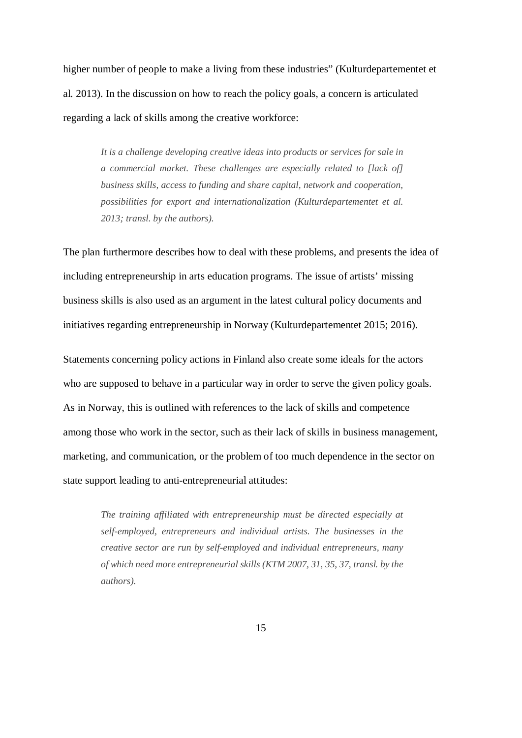higher number of people to make a living from these industries" (Kulturdepartementet et al. 2013). In the discussion on how to reach the policy goals, a concern is articulated regarding a lack of skills among the creative workforce:

> *It is a challenge developing creative ideas into products or services for sale in a commercial market. These challenges are especially related to [lack of] business skills, access to funding and share capital, network and cooperation, possibilities for export and internationalization (Kulturdepartementet et al. 2013; transl. by the authors).*

The plan furthermore describes how to deal with these problems, and presents the idea of including entrepreneurship in arts education programs. The issue of artists' missing business skills is also used as an argument in the latest cultural policy documents and initiatives regarding entrepreneurship in Norway (Kulturdepartementet 2015; 2016).

Statements concerning policy actions in Finland also create some ideals for the actors who are supposed to behave in a particular way in order to serve the given policy goals. As in Norway, this is outlined with references to the lack of skills and competence among those who work in the sector, such as their lack of skills in business management, marketing, and communication, or the problem of too much dependence in the sector on state support leading to anti-entrepreneurial attitudes:

> *The training affiliated with entrepreneurship must be directed especially at self-employed, entrepreneurs and individual artists. The businesses in the creative sector are run by self-employed and individual entrepreneurs, many of which need more entrepreneurial skills (KTM 2007, 31, 35, 37, transl. by the authors).*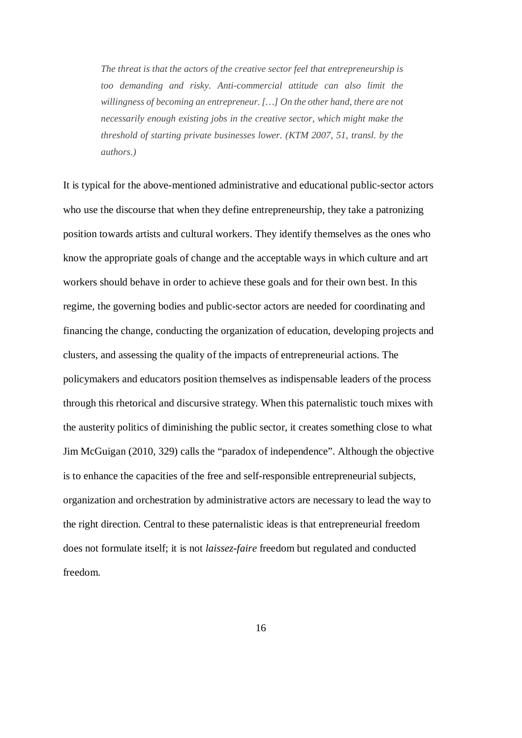*The threat is that the actors of the creative sector feel that entrepreneurship is too demanding and risky. Anti-commercial attitude can also limit the willingness of becoming an entrepreneur. […] On the other hand, there are not necessarily enough existing jobs in the creative sector, which might make the threshold of starting private businesses lower. (KTM 2007, 51, transl. by the authors.)*

It is typical for the above-mentioned administrative and educational public-sector actors who use the discourse that when they define entrepreneurship, they take a patronizing position towards artists and cultural workers. They identify themselves as the ones who know the appropriate goals of change and the acceptable ways in which culture and art workers should behave in order to achieve these goals and for their own best. In this regime, the governing bodies and public-sector actors are needed for coordinating and financing the change, conducting the organization of education, developing projects and clusters, and assessing the quality of the impacts of entrepreneurial actions. The policymakers and educators position themselves as indispensable leaders of the process through this rhetorical and discursive strategy. When this paternalistic touch mixes with the austerity politics of diminishing the public sector, it creates something close to what Jim McGuigan (2010, 329) calls the "paradox of independence". Although the objective is to enhance the capacities of the free and self-responsible entrepreneurial subjects, organization and orchestration by administrative actors are necessary to lead the way to the right direction. Central to these paternalistic ideas is that entrepreneurial freedom does not formulate itself; it is not *laissez-faire* freedom but regulated and conducted freedom.

16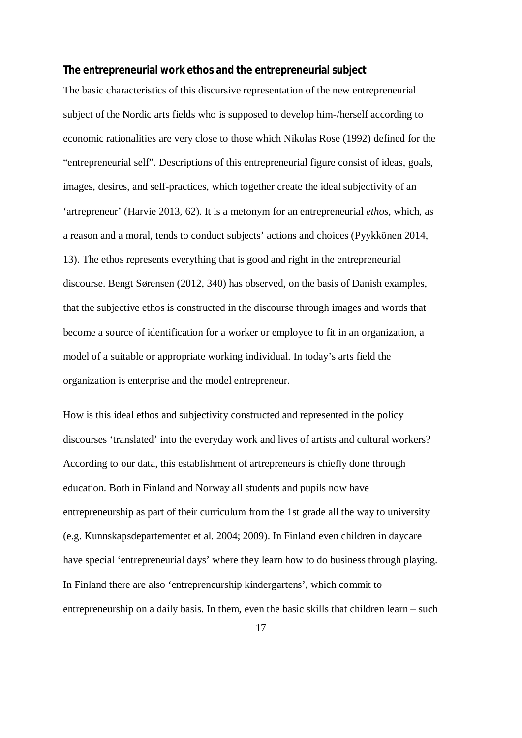**The entrepreneurial work ethos and the entrepreneurial subject**

The basic characteristics of this discursive representation of the new entrepreneurial subject of the Nordic arts fields who is supposed to develop him-/herself according to economic rationalities are very close to those which Nikolas Rose (1992) defined for the "entrepreneurial self". Descriptions of this entrepreneurial figure consist of ideas, goals, images, desires, and self-practices, which together create the ideal subjectivity of an 'artrepreneur' (Harvie 2013, 62). It is a metonym for an entrepreneurial *ethos*, which, as a reason and a moral, tends to conduct subjects' actions and choices (Pyykkönen 2014, 13). The ethos represents everything that is good and right in the entrepreneurial discourse. Bengt Sørensen (2012, 340) has observed, on the basis of Danish examples, that the subjective ethos is constructed in the discourse through images and words that become a source of identification for a worker or employee to fit in an organization, a model of a suitable or appropriate working individual. In today's arts field the organization is enterprise and the model entrepreneur.

How is this ideal ethos and subjectivity constructed and represented in the policy discourses 'translated' into the everyday work and lives of artists and cultural workers? According to our data, this establishment of artrepreneurs is chiefly done through education. Both in Finland and Norway all students and pupils now have entrepreneurship as part of their curriculum from the 1st grade all the way to university (e.g. Kunnskapsdepartementet et al. 2004; 2009). In Finland even children in daycare have special 'entrepreneurial days' where they learn how to do business through playing. In Finland there are also 'entrepreneurship kindergartens', which commit to entrepreneurship on a daily basis. In them, even the basic skills that children learn – such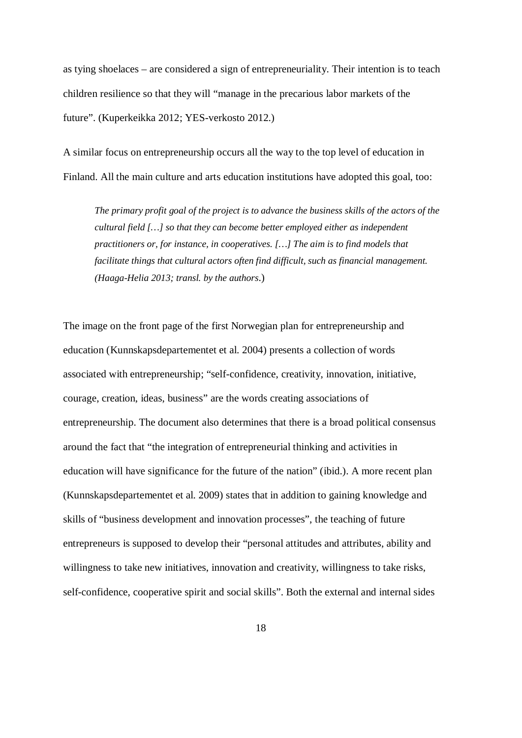as tying shoelaces – are considered a sign of entrepreneuriality. Their intention is to teach children resilience so that they will "manage in the precarious labor markets of the future". (Kuperkeikka 2012; YES-verkosto 2012.)

A similar focus on entrepreneurship occurs all the way to the top level of education in Finland. All the main culture and arts education institutions have adopted this goal, too:

*The primary profit goal of the project is to advance the business skills of the actors of the cultural field […] so that they can become better employed either as independent practitioners or, for instance, in cooperatives. […] The aim is to find models that facilitate things that cultural actors often find difficult, such as financial management. (Haaga-Helia 2013; transl. by the authors*.)

The image on the front page of the first Norwegian plan for entrepreneurship and education (Kunnskapsdepartementet et al. 2004) presents a collection of words associated with entrepreneurship; "self-confidence, creativity, innovation, initiative, courage, creation, ideas, business" are the words creating associations of entrepreneurship. The document also determines that there is a broad political consensus around the fact that "the integration of entrepreneurial thinking and activities in education will have significance for the future of the nation" (ibid.). A more recent plan (Kunnskapsdepartementet et al. 2009) states that in addition to gaining knowledge and skills of "business development and innovation processes", the teaching of future entrepreneurs is supposed to develop their "personal attitudes and attributes, ability and willingness to take new initiatives, innovation and creativity, willingness to take risks, self-confidence, cooperative spirit and social skills". Both the external and internal sides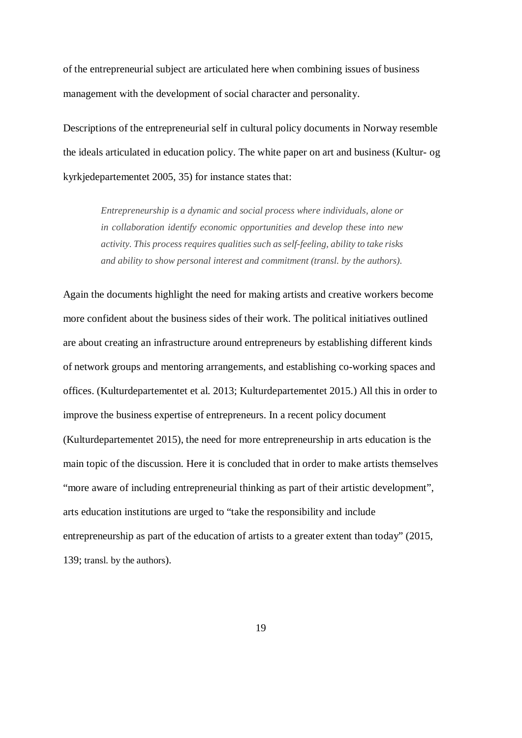of the entrepreneurial subject are articulated here when combining issues of business management with the development of social character and personality.

Descriptions of the entrepreneurial self in cultural policy documents in Norway resemble the ideals articulated in education policy. The white paper on art and business (Kultur- og kyrkjedepartementet 2005, 35) for instance states that:

> *Entrepreneurship is a dynamic and social process where individuals, alone or in collaboration identify economic opportunities and develop these into new activity. This process requires qualities such as self-feeling, ability to take risks and ability to show personal interest and commitment (transl. by the authors).*

Again the documents highlight the need for making artists and creative workers become more confident about the business sides of their work. The political initiatives outlined are about creating an infrastructure around entrepreneurs by establishing different kinds of network groups and mentoring arrangements, and establishing co-working spaces and offices. (Kulturdepartementet et al. 2013; Kulturdepartementet 2015.) All this in order to improve the business expertise of entrepreneurs. In a recent policy document (Kulturdepartementet 2015), the need for more entrepreneurship in arts education is the main topic of the discussion. Here it is concluded that in order to make artists themselves "more aware of including entrepreneurial thinking as part of their artistic development", arts education institutions are urged to "take the responsibility and include entrepreneurship as part of the education of artists to a greater extent than today" (2015, 139; transl. by the authors).

19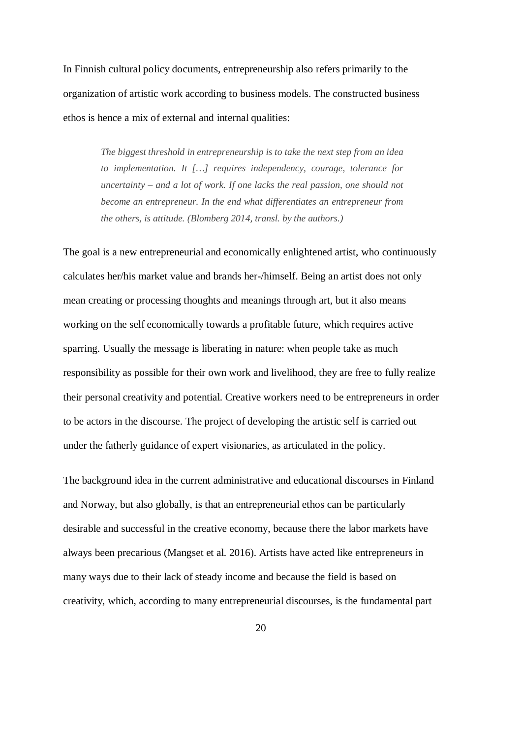In Finnish cultural policy documents, entrepreneurship also refers primarily to the organization of artistic work according to business models. The constructed business ethos is hence a mix of external and internal qualities:

> *The biggest threshold in entrepreneurship is to take the next step from an idea to implementation. It […] requires independency, courage, tolerance for uncertainty – and a lot of work. If one lacks the real passion, one should not become an entrepreneur. In the end what differentiates an entrepreneur from the others, is attitude. (Blomberg 2014, transl. by the authors.)*

The goal is a new entrepreneurial and economically enlightened artist, who continuously calculates her/his market value and brands her-/himself. Being an artist does not only mean creating or processing thoughts and meanings through art, but it also means working on the self economically towards a profitable future, which requires active sparring. Usually the message is liberating in nature: when people take as much responsibility as possible for their own work and livelihood, they are free to fully realize their personal creativity and potential. Creative workers need to be entrepreneurs in order to be actors in the discourse. The project of developing the artistic self is carried out under the fatherly guidance of expert visionaries, as articulated in the policy.

The background idea in the current administrative and educational discourses in Finland and Norway, but also globally, is that an entrepreneurial ethos can be particularly desirable and successful in the creative economy, because there the labor markets have always been precarious (Mangset et al. 2016). Artists have acted like entrepreneurs in many ways due to their lack of steady income and because the field is based on creativity, which, according to many entrepreneurial discourses, is the fundamental part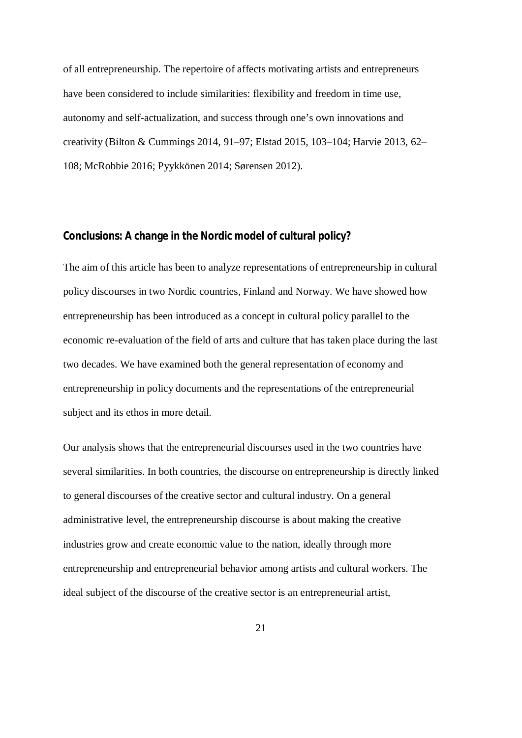of all entrepreneurship. The repertoire of affects motivating artists and entrepreneurs have been considered to include similarities: flexibility and freedom in time use, autonomy and self-actualization, and success through one's own innovations and creativity (Bilton & Cummings 2014, 91–97; Elstad 2015, 103–104; Harvie 2013, 62– 108; McRobbie 2016; Pyykkönen 2014; Sørensen 2012).

## **Conclusions: A change in the Nordic model of cultural policy?**

The aim of this article has been to analyze representations of entrepreneurship in cultural policy discourses in two Nordic countries, Finland and Norway. We have showed how entrepreneurship has been introduced as a concept in cultural policy parallel to the economic re-evaluation of the field of arts and culture that has taken place during the last two decades. We have examined both the general representation of economy and entrepreneurship in policy documents and the representations of the entrepreneurial subject and its ethos in more detail.

Our analysis shows that the entrepreneurial discourses used in the two countries have several similarities. In both countries, the discourse on entrepreneurship is directly linked to general discourses of the creative sector and cultural industry. On a general administrative level, the entrepreneurship discourse is about making the creative industries grow and create economic value to the nation, ideally through more entrepreneurship and entrepreneurial behavior among artists and cultural workers. The ideal subject of the discourse of the creative sector is an entrepreneurial artist,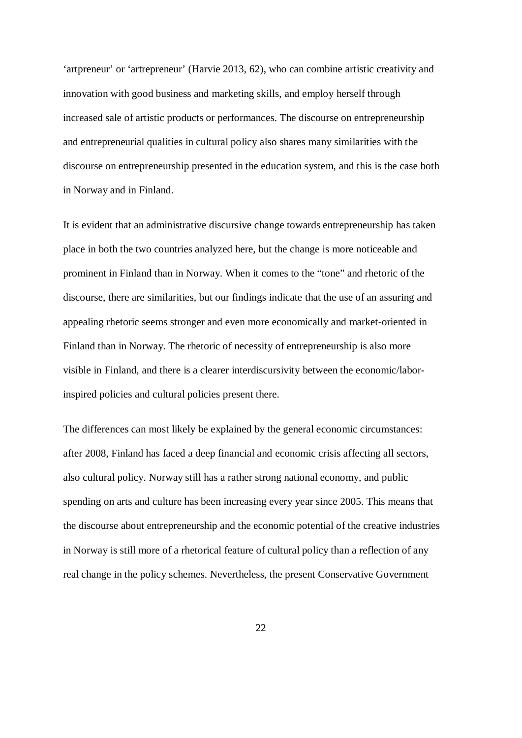'artpreneur' or 'artrepreneur' (Harvie 2013, 62), who can combine artistic creativity and innovation with good business and marketing skills, and employ herself through increased sale of artistic products or performances. The discourse on entrepreneurship and entrepreneurial qualities in cultural policy also shares many similarities with the discourse on entrepreneurship presented in the education system, and this is the case both in Norway and in Finland.

It is evident that an administrative discursive change towards entrepreneurship has taken place in both the two countries analyzed here, but the change is more noticeable and prominent in Finland than in Norway. When it comes to the "tone" and rhetoric of the discourse, there are similarities, but our findings indicate that the use of an assuring and appealing rhetoric seems stronger and even more economically and market-oriented in Finland than in Norway. The rhetoric of necessity of entrepreneurship is also more visible in Finland, and there is a clearer interdiscursivity between the economic/laborinspired policies and cultural policies present there.

The differences can most likely be explained by the general economic circumstances: after 2008, Finland has faced a deep financial and economic crisis affecting all sectors, also cultural policy. Norway still has a rather strong national economy, and public spending on arts and culture has been increasing every year since 2005. This means that the discourse about entrepreneurship and the economic potential of the creative industries in Norway is still more of a rhetorical feature of cultural policy than a reflection of any real change in the policy schemes. Nevertheless, the present Conservative Government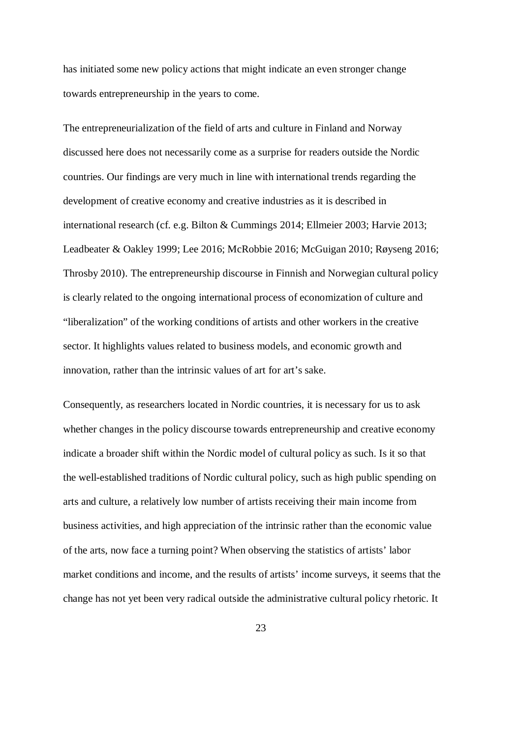has initiated some new policy actions that might indicate an even stronger change towards entrepreneurship in the years to come.

The entrepreneurialization of the field of arts and culture in Finland and Norway discussed here does not necessarily come as a surprise for readers outside the Nordic countries. Our findings are very much in line with international trends regarding the development of creative economy and creative industries as it is described in international research (cf. e.g. Bilton & Cummings 2014; Ellmeier 2003; Harvie 2013; Leadbeater & Oakley 1999; Lee 2016; McRobbie 2016; McGuigan 2010; Røyseng 2016; Throsby 2010). The entrepreneurship discourse in Finnish and Norwegian cultural policy is clearly related to the ongoing international process of economization of culture and "liberalization" of the working conditions of artists and other workers in the creative sector. It highlights values related to business models, and economic growth and innovation, rather than the intrinsic values of art for art's sake.

Consequently, as researchers located in Nordic countries, it is necessary for us to ask whether changes in the policy discourse towards entrepreneurship and creative economy indicate a broader shift within the Nordic model of cultural policy as such. Is it so that the well-established traditions of Nordic cultural policy, such as high public spending on arts and culture, a relatively low number of artists receiving their main income from business activities, and high appreciation of the intrinsic rather than the economic value of the arts, now face a turning point? When observing the statistics of artists' labor market conditions and income, and the results of artists' income surveys, it seems that the change has not yet been very radical outside the administrative cultural policy rhetoric. It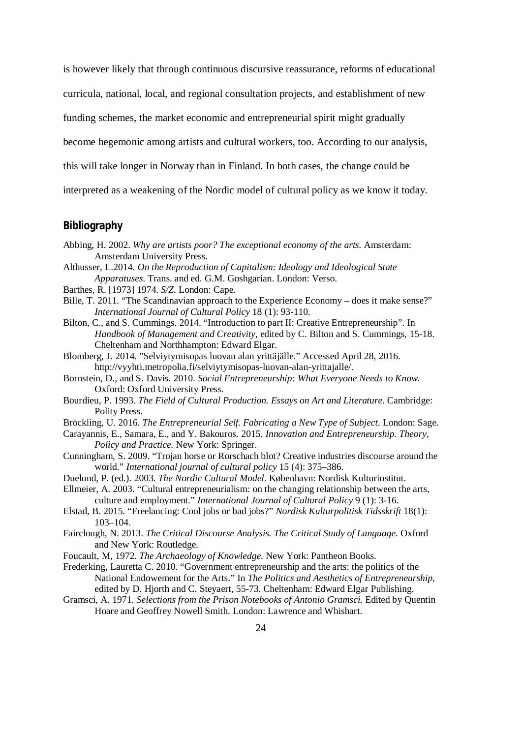is however likely that through continuous discursive reassurance, reforms of educational curricula, national, local, and regional consultation projects, and establishment of new funding schemes, the market economic and entrepreneurial spirit might gradually become hegemonic among artists and cultural workers, too. According to our analysis, this will take longer in Norway than in Finland. In both cases, the change could be interpreted as a weakening of the Nordic model of cultural policy as we know it today.

#### **Bibliography**

- Abbing, H. 2002. *Why are artists poor? The exceptional economy of the arts.* Amsterdam: Amsterdam University Press.
- Althusser, L.2014. *On the Reproduction of Capitalism: Ideology and Ideological State Apparatuses.* Trans. and ed. G.M. Goshgarian. London: Verso.
- Barthes, R. [1973] 1974. *S/Z.* London: Cape.
- Bille, T. 2011. "The Scandinavian approach to the Experience Economy does it make sense?" *International Journal of Cultural Policy* 18 (1): 93-110.
- Bilton, C., and S. Cummings. 2014. "Introduction to part II: Creative Entrepreneurship". In *Handbook of Management and Creativity*, edited by C. Bilton and S. Cummings, 15-18. Cheltenham and Northhampton: Edward Elgar.
- Blomberg, J. 2014. "Selviytymisopas luovan alan yrittäjälle." Accessed April 28, 2016. http://vyyhti.metropolia.fi/selviytymisopas-luovan-alan-yrittajalle/.
- Bornstein, D., and S. Davis. 2010. *Social Entrepreneurship: What Everyone Needs to Know.* Oxford: Oxford University Press.
- Bourdieu, P. 1993. *The Field of Cultural Production. Essays on Art and Literature.* Cambridge: Polity Press.
- Bröckling, U. 2016. *The Entrepreneurial Self. Fabricating a New Type of Subject*. London: Sage.
- Carayannis, E., Samara, E., and Y. Bakouros. 2015. *Innovation and Entrepreneurship. Theory, Policy and Practice.* New York: Springer.
- Cunningham, S. 2009. "Trojan horse or Rorschach blot? Creative industries discourse around the world." *International journal of cultural policy* 15 (4): 375–386.
- Duelund, P. (ed.). 2003. *The Nordic Cultural Model*. København: Nordisk Kulturinstitut.
- Ellmeier, A. 2003. "Cultural entrepreneurialism: on the changing relationship between the arts, culture and employment." *International Journal of Cultural Policy* 9 (1): 3-16.
- Elstad, B. 2015. "Freelancing: Cool jobs or bad jobs?" *Nordisk Kulturpolitisk Tidsskrift* 18(1): 103–104.
- Fairclough, N. 2013. *The Critical Discourse Analysis. The Critical Study of Language*. Oxford and New York: Routledge.
- Foucault, M, 1972. *The Archaeology of Knowledge.* New York: Pantheon Books.
- Frederking, Lauretta C. 2010. "Government entrepreneurship and the arts: the politics of the National Endowement for the Arts." In *The Politics and Aesthetics of Entrepreneurship*, edited by D. Hjorth and C. Steyaert, 55-73. Cheltenham: Edward Elgar Publishing.
- Gramsci, A. 1971. *Selections from the Prison Notebooks of Antonio Gramsci*. Edited by Quentin Hoare and Geoffrey Nowell Smith. London: Lawrence and Whishart.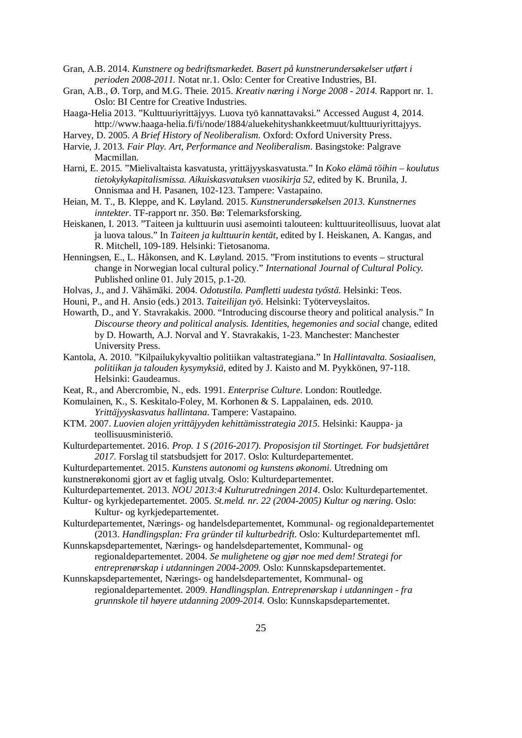Gran, A.B. 2014. *Kunstnere og bedriftsmarkedet. Basert på kunstnerundersøkelser utført i perioden 2008-2011.* Notat nr.1. Oslo: Center for Creative Industries, BI.

- Gran, A.B., Ø. Torp, and M.G. Theie. 2015. *Kreativ næring i Norge 2008 2014*. Rapport nr. 1. Oslo: BI Centre for Creative Industries.
- Haaga-Helia 2013. "Kulttuuriyrittäjyys. Luova työ kannattavaksi." Accessed August 4, 2014. http://www.haaga-helia.fi/fi/node/1884/aluekehityshankkeetmuut/kulttuuriyrittajyys.
- Harvey, D. 2005. *A Brief History of Neoliberalism*. Oxford: Oxford University Press.
- Harvie, J. 2013. *Fair Play. Art, Performance and Neoliberalism*. Basingstoke: Palgrave Macmillan.
- Harni, E. 2015. "Mielivaltaista kasvatusta, yrittäjyyskasvatusta." In *Koko elämä töihin koulutus tietokykykapitalismissa. Aikuiskasvatuksen vuosikirja 52*, edited by K. Brunila, J. Onnismaa and H. Pasanen, 102-123. Tampere: Vastapaino.
- Heian, M. T., B. Kleppe, and K. Løyland. 2015. *Kunstnerundersøkelsen 2013. Kunstnernes inntekter*. TF-rapport nr. 350. Bø: Telemarksforsking.
- Heiskanen, I. 2013. "Taiteen ja kulttuurin uusi asemointi talouteen: kulttuuriteollisuus, luovat alat ja luova talous." In *Taiteen ja kulttuurin kentät*, edited by I. Heiskanen, A. Kangas, and R. Mitchell, 109-189. Helsinki: Tietosanoma.
- Henningsen, E., L. Håkonsen, and K. Løyland. 2015. "From institutions to events structural change in Norwegian local cultural policy." *International Journal of Cultural Policy.* Published online 01. July 2015, p.1-20.
- Holvas, J., and J. Vähämäki. 2004. *Odotustila. Pamfletti uudesta työstä*. Helsinki: Teos.
- Houni, P., and H. Ansio (eds.) 2013. *Taiteilijan työ*. Helsinki: Työterveyslaitos.
- Howarth, D., and Y. Stavrakakis. 2000. "Introducing discourse theory and political analysis." In *Discourse theory and political analysis. Identities, hegemonies and social* change, edited by D. Howarth, A.J. Norval and Y. Stavrakakis, 1-23. Manchester: Manchester University Press.
- Kantola, A. 2010. "Kilpailukykyvaltio politiikan valtastrategiana." In *Hallintavalta. Sosiaalisen, politiikan ja talouden kysymyksiä*, edited by J. Kaisto and M. Pyykkönen, 97-118. Helsinki: Gaudeamus.
- Keat, R., and Abercrombie, N., eds. 1991. *Enterprise Culture.* London: Routledge.
- Komulainen, K., S. Keskitalo-Foley, M. Korhonen & S. Lappalainen, eds. 2010. *Yrittäjyyskasvatus hallintana*. Tampere: Vastapaino.
- KTM. 2007. *Luovien alojen yrittäjyyden kehittämisstrategia 2015*. Helsinki: Kauppa- ja teollisuusministeriö.
- Kulturdepartementet. 2016. *Prop. 1 S (2016-2017). Proposisjon til Stortinget. For budsjettåret 2017.* Forslag til statsbudsjett for 2017. Oslo: Kulturdepartementet.
- Kulturdepartementet. 2015. *Kunstens autonomi og kunstens økonomi.* Utredning om
- kunstnerøkonomi gjort av et faglig utvalg. Oslo: Kulturdepartementet.
- Kulturdepartementet. 2013. *NOU 2013:4 Kulturutredningen 2014*. Oslo: Kulturdepartementet.
- Kultur- og kyrkjedepartementet. 2005. *St.meld. nr. 22 (2004-2005) Kultur og næring*. Oslo: Kultur- og kyrkjedepartementet.
- Kulturdepartementet, Nærings- og handelsdepartementet, Kommunal- og regionaldepartementet (2013. *Handlingsplan: Fra gründer til kulturbedrift.* Oslo: Kulturdepartementet mfl.
- Kunnskapsdepartementet, Nærings- og handelsdepartementet, Kommunal- og
	- regionaldepartementet. 2004. *Se mulighetene og gjør noe med dem! Strategi for entreprenørskap i utdanningen 2004-2009.* Oslo: Kunnskapsdepartementet.
- Kunnskapsdepartementet, Nærings- og handelsdepartementet, Kommunal- og regionaldepartementet. 2009. *Handlingsplan. Entreprenørskap i utdanningen - fra grunnskole til høyere utdanning 2009-2014.* Oslo: Kunnskapsdepartementet.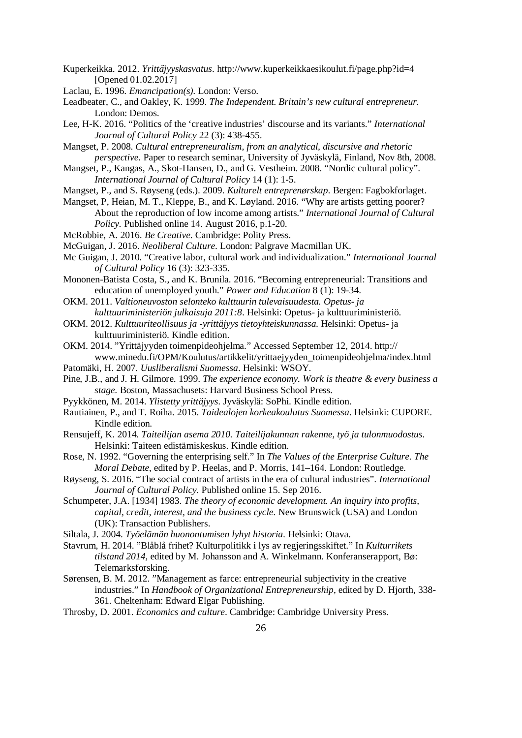- Kuperkeikka. 2012. *Yrittäjyyskasvatus*. http://www.kuperkeikkaesikoulut.fi/page.php?id=4 [Opened 01.02.2017]
- Laclau, E. 1996. *Emancipation(s).* London: Verso.
- Leadbeater, C., and Oakley, K. 1999. *The Independent. Britain's new cultural entrepreneur.* London: Demos.
- Lee, H-K. 2016. "Politics of the 'creative industries' discourse and its variants." *International Journal of Cultural Policy* 22 (3): 438-455.
- Mangset, P. 2008. *Cultural entrepreneuralism, from an analytical, discursive and rhetoric perspective.* Paper to research seminar, University of Jyväskylä, Finland, Nov 8th, 2008.
- Mangset, P., Kangas, A., Skot-Hansen, D., and G. Vestheim. 2008. "Nordic cultural policy". *International Journal of Cultural Policy* 14 (1): 1-5.
- Mangset, P., and S. Røyseng (eds.). 2009. *Kulturelt entreprenørskap*. Bergen: Fagbokforlaget.
- Mangset, P, Heian, M. T., Kleppe, B., and K. Løyland. 2016. "Why are artists getting poorer? About the reproduction of low income among artists." *International Journal of Cultural Policy.* Published online 14. August 2016, p.1-20.
- McRobbie, A. 2016. *Be Creative*. Cambridge: Polity Press.
- McGuigan, J. 2016. *Neoliberal Culture*. London: Palgrave Macmillan UK.
- Mc Guigan, J. 2010. "Creative labor, cultural work and individualization." *International Journal of Cultural Policy* 16 (3): 323-335.
- Mononen-Batista Costa, S., and K. Brunila. 2016. "Becoming entrepreneurial: Transitions and education of unemployed youth." *Power and Education* 8 (1): 19-34.
- OKM. 2011. *Valtioneuvoston selonteko kulttuurin tulevaisuudesta. Opetus- ja kulttuuriministeriön julkaisuja 2011:8*. Helsinki: Opetus- ja kulttuuriministeriö.
- OKM. 2012. *Kulttuuriteollisuus ja -yrittäjyys tietoyhteiskunnassa.* Helsinki: Opetus- ja kulttuuriministeriö. Kindle edition.
- OKM. 2014. "Yrittäjyyden toimenpideohjelma." Accessed September 12, 2014. http:// www.minedu.fi/OPM/Koulutus/artikkelit/yrittaejyyden\_toimenpideohjelma/index.html
- Patomäki, H. 2007. *Uusliberalismi Suomessa*. Helsinki: WSOY.
- Pine, J.B., and J. H. Gilmore. 1999. *The experience economy. Work is theatre & every business a stage.* Boston, Massachusets: Harvard Business School Press.
- Pyykkönen, M. 2014. *Ylistetty yrittäjyys*. Jyväskylä: SoPhi. Kindle edition.
- Rautiainen, P., and T. Roiha. 2015. *Taidealojen korkeakoulutus Suomessa*. Helsinki: CUPORE. Kindle edition.
- Rensujeff, K. 2014. *Taiteilijan asema 2010. Taiteilijakunnan rakenne, työ ja tulonmuodostus*. Helsinki: Taiteen edistämiskeskus. Kindle edition.
- Rose, N. 1992. "Governing the enterprising self." In *The Values of the Enterprise Culture. The Moral Debate*, edited by P. Heelas, and P. Morris, 141–164. London: Routledge.
- Røyseng, S. 2016. "The social contract of artists in the era of cultural industries". *International Journal of Cultural Policy.* Published online 15. Sep 2016.
- Schumpeter, J.A. [1934] 1983. *The theory of economic development. An inquiry into profits, capital, credit, interest, and the business cycle*. New Brunswick (USA) and London (UK): Transaction Publishers.
- Siltala, J. 2004. *Työelämän huonontumisen lyhyt historia*. Helsinki: Otava.
- Stavrum, H. 2014. "Blåblå frihet? Kulturpolitikk i lys av regjeringsskiftet." In *Kulturrikets tilstand 2014,* edited by M. Johansson and A. Winkelmann. Konferanserapport, Bø: Telemarksforsking.
- Sørensen, B. M. 2012. "Management as farce: entrepreneurial subjectivity in the creative industries." In *Handbook of Organizational Entrepreneurship*, edited by D. Hjorth, 338- 361. Cheltenham: Edward Elgar Publishing.
- Throsby, D. 2001. *Economics and culture*. Cambridge: Cambridge University Press.